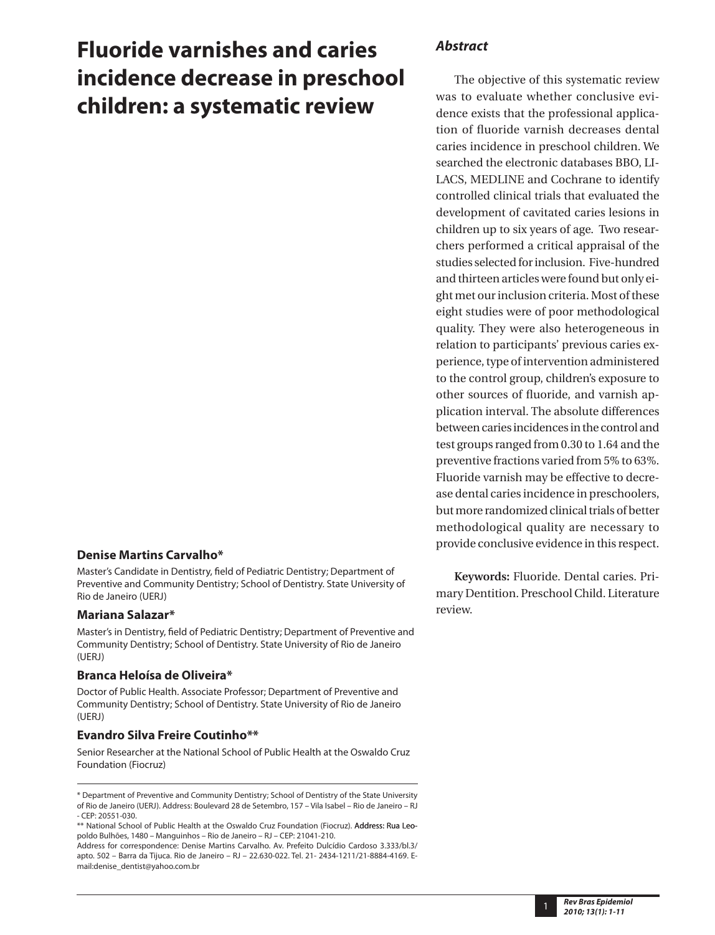# **Fluoride varnishes and caries incidence decrease in preschool children: a systematic review**

#### **Denise Martins Carvalho\***

Master's Candidate in Dentistry, field of Pediatric Dentistry; Department of Preventive and Community Dentistry; School of Dentistry. State University of Rio de Janeiro (UERJ)

#### **Mariana Salazar\***

Master's in Dentistry, field of Pediatric Dentistry; Department of Preventive and Community Dentistry; School of Dentistry. State University of Rio de Janeiro (UERJ)

#### **Branca Heloísa de Oliveira\***

Doctor of Public Health. Associate Professor; Department of Preventive and Community Dentistry; School of Dentistry. State University of Rio de Janeiro (UERJ)

#### **Evandro Silva Freire Coutinho\*\***

Senior Researcher at the National School of Public Health at the Oswaldo Cruz Foundation (Fiocruz)

## *Abstract*

The objective of this systematic review was to evaluate whether conclusive evidence exists that the professional application of fluoride varnish decreases dental caries incidence in preschool children. We searched the electronic databases BBO, LI-LACS, MEDLINE and Cochrane to identify controlled clinical trials that evaluated the development of cavitated caries lesions in children up to six years of age. Two researchers performed a critical appraisal of the studies selected for inclusion. Five-hundred and thirteen articles were found but only eight met our inclusion criteria. Most of these eight studies were of poor methodological quality. They were also heterogeneous in relation to participants' previous caries experience, type of intervention administered to the control group, children's exposure to other sources of fluoride, and varnish application interval. The absolute differences between caries incidences in the control and test groups ranged from 0.30 to 1.64 and the preventive fractions varied from 5% to 63%. Fluoride varnish may be effective to decrease dental caries incidence in preschoolers, but more randomized clinical trials of better methodological quality are necessary to provide conclusive evidence in this respect.

**Keywords:** Fluoride. Dental caries. Primary Dentition. Preschool Child. Literature review.

<sup>\*</sup> Department of Preventive and Community Dentistry; School of Dentistry of the State University of Rio de Janeiro (UERJ). Address: Boulevard 28 de Setembro, 157 – Vila Isabel – Rio de Janeiro – RJ - CEP: 20551-030.

<sup>\*\*</sup> National School of Public Health at the Oswaldo Cruz Foundation (Fiocruz). Address: Rua Leopoldo Bulhões, 1480 – Manguinhos – Rio de Janeiro – RJ – CEP: 21041-210.

Address for correspondence: Denise Martins Carvalho. Av. Prefeito Dulcídio Cardoso 3.333/bl.3/ apto. 502 – Barra da Tijuca. Rio de Janeiro – RJ – 22.630-022. Tel. 21- 2434-1211/21-8884-4169. Email:denise\_dentist@yahoo.com.br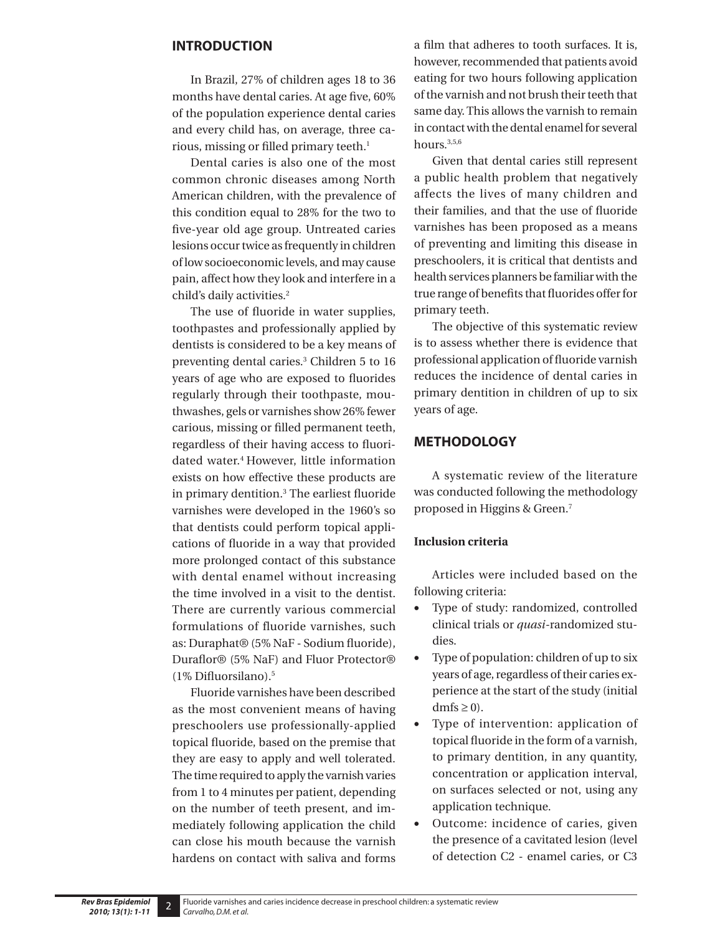### **INTRODUCTION**

In Brazil, 27% of children ages 18 to 36 months have dental caries. At age five, 60% of the population experience dental caries and every child has, on average, three carious, missing or filled primary teeth.<sup>1</sup>

Dental caries is also one of the most common chronic diseases among North American children, with the prevalence of this condition equal to 28% for the two to five-year old age group. Untreated caries lesions occur twice as frequently in children of low socioeconomic levels, and may cause pain, affect how they look and interfere in a child's daily activities.<sup>2</sup>

The use of fluoride in water supplies, toothpastes and professionally applied by dentists is considered to be a key means of preventing dental caries.3 Children 5 to 16 years of age who are exposed to fluorides regularly through their toothpaste, mouthwashes, gels or varnishes show 26% fewer carious, missing or filled permanent teeth, regardless of their having access to fluoridated water.<sup>4</sup> However, little information exists on how effective these products are in primary dentition.3 The earliest fluoride varnishes were developed in the 1960's so that dentists could perform topical applications of fluoride in a way that provided more prolonged contact of this substance with dental enamel without increasing the time involved in a visit to the dentist. There are currently various commercial formulations of fluoride varnishes, such as: Duraphat® (5% NaF - Sodium fluoride), Duraflor® (5% NaF) and Fluor Protector® (1% Difluorsilano).5

Fluoride varnishes have been described as the most convenient means of having preschoolers use professionally-applied topical fluoride, based on the premise that they are easy to apply and well tolerated. The time required to apply the varnish varies from 1 to 4 minutes per patient, depending on the number of teeth present, and immediately following application the child can close his mouth because the varnish hardens on contact with saliva and forms a film that adheres to tooth surfaces. It is, however, recommended that patients avoid eating for two hours following application of the varnish and not brush their teeth that same day. This allows the varnish to remain in contact with the dental enamel for several hours.3,5,6

Given that dental caries still represent a public health problem that negatively affects the lives of many children and their families, and that the use of fluoride varnishes has been proposed as a means of preventing and limiting this disease in preschoolers, it is critical that dentists and health services planners be familiar with the true range of benefits that fluorides offer for primary teeth.

The objective of this systematic review is to assess whether there is evidence that professional application of fluoride varnish reduces the incidence of dental caries in primary dentition in children of up to six years of age.

# **METHODOLOGY**

A systematic review of the literature was conducted following the methodology proposed in Higgins & Green.7

## **Inclusion criteria**

Articles were included based on the following criteria:

- · Type of study: randomized, controlled clinical trials or *quasi-*randomized studies.
- Type of population: children of up to six years of age, regardless of their caries experience at the start of the study (initial dmfs  $\geq$  0).
- · Type of intervention: application of topical fluoride in the form of a varnish, to primary dentition, in any quantity, concentration or application interval, on surfaces selected or not, using any application technique.
- · Outcome: incidence of caries, given the presence of a cavitated lesion (level of detection C2 - enamel caries, or C3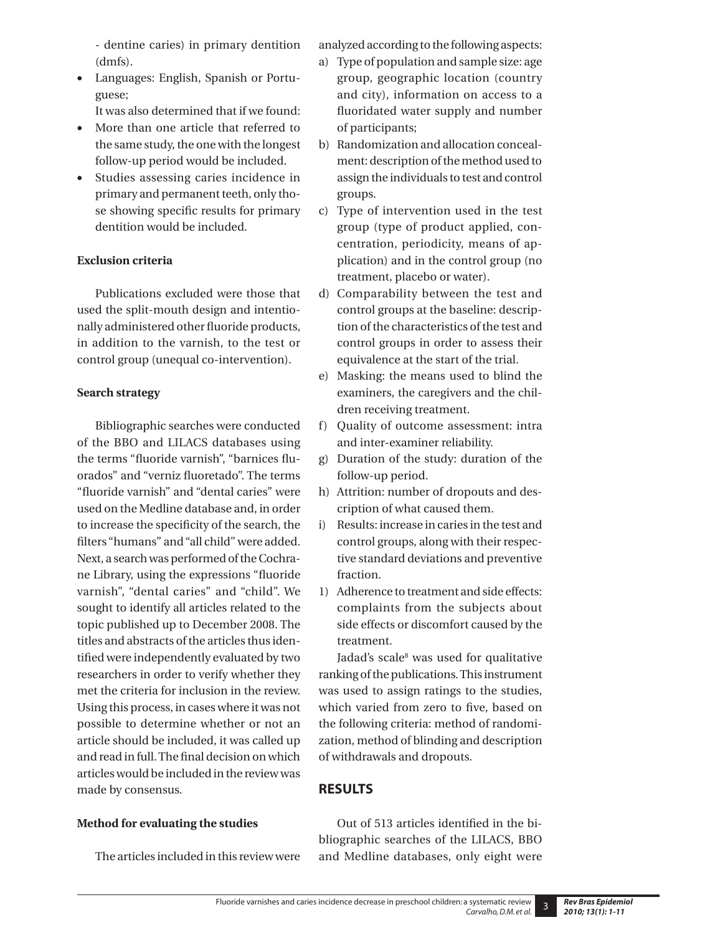- dentine caries) in primary dentition (dmfs).

· Languages: English, Spanish or Portuguese;

It was also determined that if we found:

- · More than one article that referred to the same study, the one with the longest follow-up period would be included.
- · Studies assessing caries incidence in primary and permanent teeth, only those showing specific results for primary dentition would be included.

# **Exclusion criteria**

Publications excluded were those that used the split-mouth design and intentionally administered other fluoride products, in addition to the varnish, to the test or control group (unequal co-intervention).

# **Search strategy**

Bibliographic searches were conducted of the BBO and LILACS databases using the terms "fluoride varnish", "barnices fluorados" and "verniz fluoretado". The terms "fluoride varnish" and "dental caries" were used on the Medline database and, in order to increase the specificity of the search, the filters "humans" and "all child" were added. Next, a search was performed of the Cochrane Library, using the expressions "fluoride varnish", "dental caries" and "child". We sought to identify all articles related to the topic published up to December 2008. The titles and abstracts of the articles thus identified were independently evaluated by two researchers in order to verify whether they met the criteria for inclusion in the review. Using this process, in cases where it was not possible to determine whether or not an article should be included, it was called up and read in full. The final decision on which articles would be included in the review was made by consensus.

# **Method for evaluating the studies**

The articles included in this review were

analyzed according to the following aspects:

- a) Type of population and sample size: age group, geographic location (country and city), information on access to a fluoridated water supply and number of participants;
- b) Randomization and allocation concealment: description of the method used to assign the individuals to test and control groups.
- c) Type of intervention used in the test group (type of product applied, concentration, periodicity, means of application) and in the control group (no treatment, placebo or water).
- d) Comparability between the test and control groups at the baseline: description of the characteristics of the test and control groups in order to assess their equivalence at the start of the trial.
- e) Masking: the means used to blind the examiners, the caregivers and the children receiving treatment.
- f) Quality of outcome assessment: intra and inter-examiner reliability.
- g) Duration of the study: duration of the follow-up period.
- h) Attrition: number of dropouts and description of what caused them.
- i) Results: increase in caries in the test and control groups, along with their respective standard deviations and preventive fraction.
- 1) Adherence to treatment and side effects: complaints from the subjects about side effects or discomfort caused by the treatment.

Jadad's scale<sup>8</sup> was used for qualitative ranking of the publications. This instrument was used to assign ratings to the studies, which varied from zero to five, based on the following criteria: method of randomization, method of blinding and description of withdrawals and dropouts.

# **RESULTS**

Out of 513 articles identified in the bibliographic searches of the LILACS, BBO and Medline databases, only eight were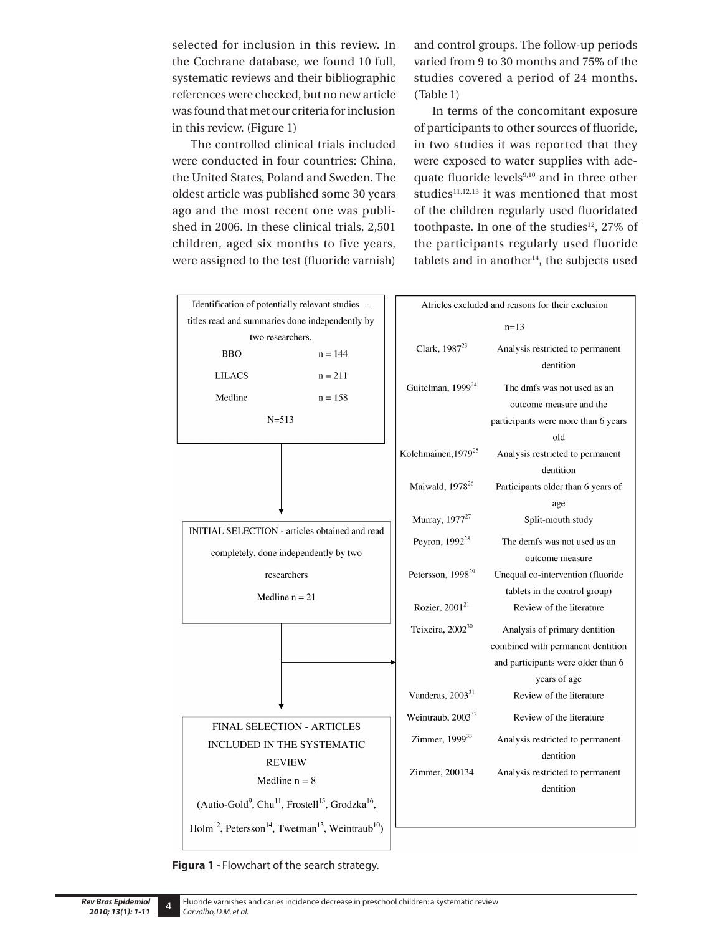selected for inclusion in this review. In the Cochrane database, we found 10 full, systematic reviews and their bibliographic references were checked, but no new article was found that met our criteria for inclusion in this review. (Figure 1)

The controlled clinical trials included were conducted in four countries: China, the United States, Poland and Sweden. The oldest article was published some 30 years ago and the most recent one was published in 2006. In these clinical trials, 2,501 children, aged six months to five years, were assigned to the test (fluoride varnish)

and control groups. The follow-up periods varied from 9 to 30 months and 75% of the studies covered a period of 24 months. (Table 1)

In terms of the concomitant exposure of participants to other sources of fluoride, in two studies it was reported that they were exposed to water supplies with adequate fluoride levels<sup>9,10</sup> and in three other studies $11,12,13$  it was mentioned that most of the children regularly used fluoridated toothpaste. In one of the studies<sup>12</sup>, 27% of the participants regularly used fluoride tablets and in another $14$ , the subjects used



**Figura 1 -** Flowchart of the search strategy.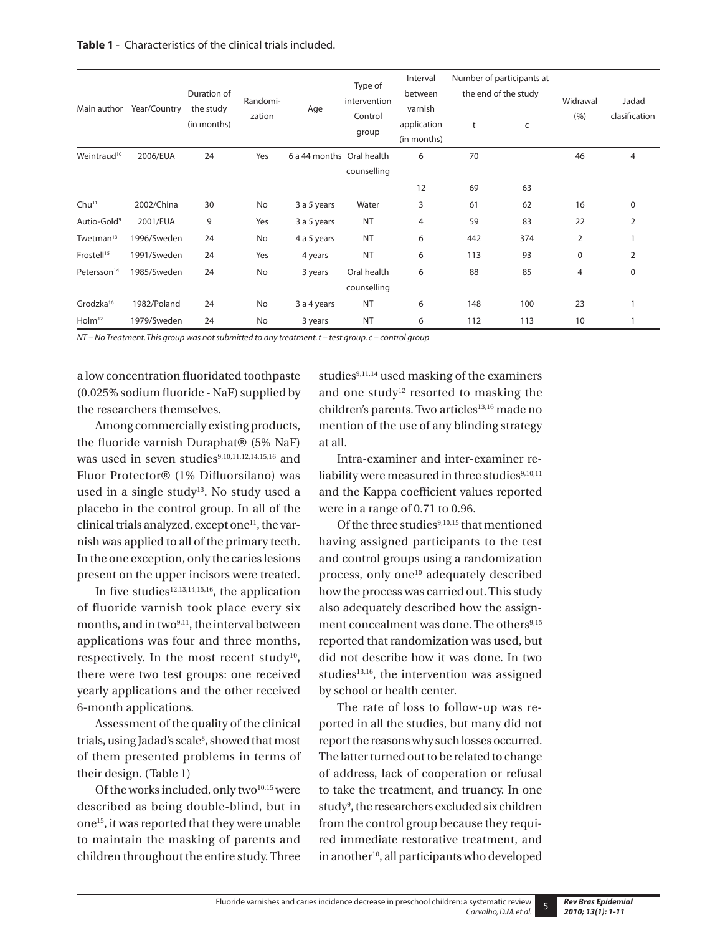| <b>Table 1</b> - Characteristics of the clinical trials included. |
|-------------------------------------------------------------------|
|-------------------------------------------------------------------|

| Main author             | Year/Country | Duration of<br>the study<br>(in months) | Randomi-<br>zation | Age                       | Type of<br>intervention<br>Control<br>group | Interval<br>between                   | Number of participants at<br>the end of the study |     | Widrawal       | Jadad          |
|-------------------------|--------------|-----------------------------------------|--------------------|---------------------------|---------------------------------------------|---------------------------------------|---------------------------------------------------|-----|----------------|----------------|
|                         |              |                                         |                    |                           |                                             | varnish<br>application<br>(in months) | t                                                 | C   | (% )           | clasification  |
| Weintraud <sup>10</sup> | 2006/EUA     | 24                                      | Yes                | 6 a 44 months Oral health | counselling                                 | 6                                     | 70                                                |     | 46             | 4              |
|                         |              |                                         |                    |                           |                                             | 12                                    | 69                                                | 63  |                |                |
| $Chu^{11}$              | 2002/China   | 30                                      | No                 | 3 a 5 years               | Water                                       | 3                                     | 61                                                | 62  | 16             | 0              |
| Autio-Gold <sup>9</sup> | 2001/EUA     | 9                                       | Yes                | 3 a 5 years               | <b>NT</b>                                   | $\overline{4}$                        | 59                                                | 83  | 22             | 2              |
| Twetman <sup>13</sup>   | 1996/Sweden  | 24                                      | No                 | 4 a 5 years               | <b>NT</b>                                   | 6                                     | 442                                               | 374 | $\overline{2}$ |                |
| Frostell <sup>15</sup>  | 1991/Sweden  | 24                                      | Yes                | 4 years                   | <b>NT</b>                                   | 6                                     | 113                                               | 93  | $\mathbf 0$    | $\overline{2}$ |
| Petersson <sup>14</sup> | 1985/Sweden  | 24                                      | No                 | 3 years                   | Oral health<br>counselling                  | 6                                     | 88                                                | 85  | $\overline{4}$ | $\mathbf 0$    |
| Grodzka <sup>16</sup>   | 1982/Poland  | 24                                      | No                 | 3 a 4 years               | <b>NT</b>                                   | 6                                     | 148                                               | 100 | 23             | 1              |
| Holm <sup>12</sup>      | 1979/Sweden  | 24                                      | No                 | 3 years                   | <b>NT</b>                                   | 6                                     | 112                                               | 113 | 10             | 1              |

*NT – No Treatment. This group was not submitted to any treatment. t – test group. c – control group*

a low concentration fluoridated toothpaste (0.025% sodium fluoride - NaF) supplied by the researchers themselves.

Among commercially existing products, the fluoride varnish Duraphat® (5% NaF) was used in seven studies<sup>9,10,11,12,14,15,16</sup> and Fluor Protector® (1% Difluorsilano) was used in a single study<sup>13</sup>. No study used a placebo in the control group. In all of the clinical trials analyzed, except one<sup>11</sup>, the varnish was applied to all of the primary teeth. In the one exception, only the caries lesions present on the upper incisors were treated.

In five studies $12,13,14,15,16$ , the application of fluoride varnish took place every six months, and in two<sup>9,11</sup>, the interval between applications was four and three months, respectively. In the most recent study<sup>10</sup>, there were two test groups: one received yearly applications and the other received 6-month applications.

Assessment of the quality of the clinical trials, using Jadad's scale<sup>8</sup>, showed that most of them presented problems in terms of their design. (Table 1)

Of the works included, only two<sup>10,15</sup> were described as being double-blind, but in one15, it was reported that they were unable to maintain the masking of parents and children throughout the entire study. Three

studies<sup>9,11,14</sup> used masking of the examiners and one study<sup>12</sup> resorted to masking the children's parents. Two articles<sup>13,16</sup> made no mention of the use of any blinding strategy at all.

Intra-examiner and inter-examiner reliability were measured in three studies<sup>9,10,11</sup> and the Kappa coefficient values reported were in a range of 0.71 to 0.96.

Of the three studies<sup>9,10,15</sup> that mentioned having assigned participants to the test and control groups using a randomization process, only one<sup>10</sup> adequately described how the process was carried out. This study also adequately described how the assignment concealment was done. The others<sup>9,15</sup> reported that randomization was used, but did not describe how it was done. In two studies<sup>13,16</sup>, the intervention was assigned by school or health center.

The rate of loss to follow-up was reported in all the studies, but many did not report the reasons why such losses occurred. The latter turned out to be related to change of address, lack of cooperation or refusal to take the treatment, and truancy. In one study<sup>9</sup>, the researchers excluded six children from the control group because they required immediate restorative treatment, and in another<sup>10</sup>, all participants who developed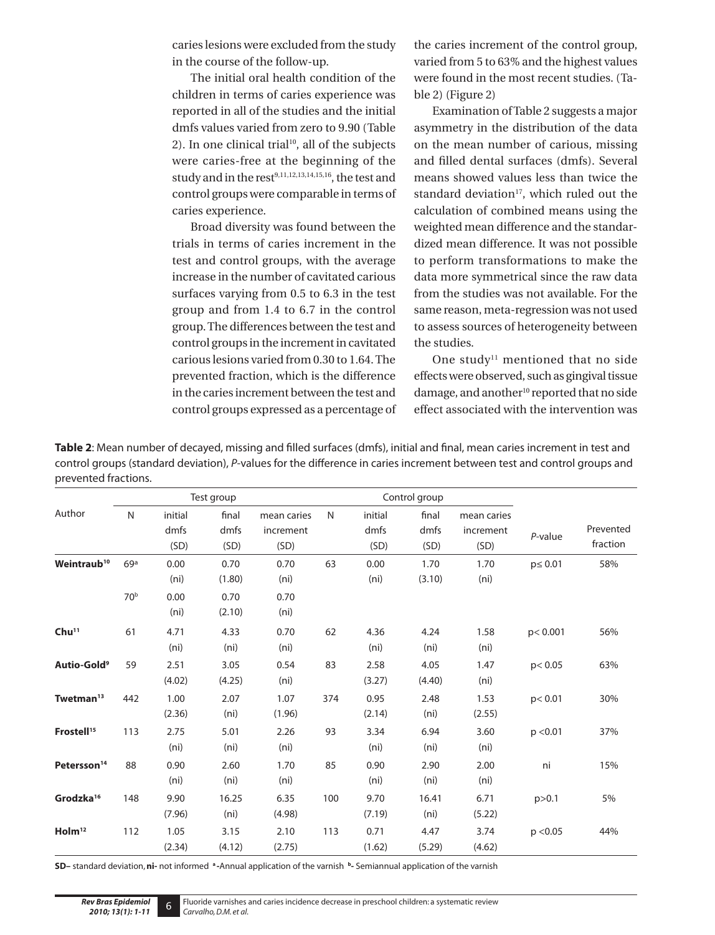caries lesions were excluded from the study in the course of the follow-up.

The initial oral health condition of the children in terms of caries experience was reported in all of the studies and the initial dmfs values varied from zero to 9.90 (Table 2). In one clinical trial<sup>10</sup>, all of the subjects were caries-free at the beginning of the study and in the rest<sup>9,11,12,13,14,15,16</sup>, the test and control groups were comparable in terms of caries experience.

Broad diversity was found between the trials in terms of caries increment in the test and control groups, with the average increase in the number of cavitated carious surfaces varying from 0.5 to 6.3 in the test group and from 1.4 to 6.7 in the control group. The differences between the test and control groups in the increment in cavitated carious lesions varied from 0.30 to 1.64. The prevented fraction, which is the difference in the caries increment between the test and control groups expressed as a percentage of the caries increment of the control group, varied from 5 to 63% and the highest values were found in the most recent studies. (Table 2) (Figure 2)

Examination of Table 2 suggests a major asymmetry in the distribution of the data on the mean number of carious, missing and filled dental surfaces (dmfs). Several means showed values less than twice the standard deviation<sup>17</sup>, which ruled out the calculation of combined means using the weighted mean difference and the standardized mean difference. It was not possible to perform transformations to make the data more symmetrical since the raw data from the studies was not available. For the same reason, meta-regression was not used to assess sources of heterogeneity between the studies.

One study<sup>11</sup> mentioned that no side effects were observed, such as gingival tissue damage, and another<sup>10</sup> reported that no side effect associated with the intervention was

**Table 2**: Mean number of decayed, missing and filled surfaces (dmfs), initial and final, mean caries increment in test and control groups (standard deviation), *P*-values for the difference in caries increment between test and control groups and prevented fractions.

|                         | Test group      |                           |                       |                                  |     |                         | Control group         |                                  |               |                       |
|-------------------------|-----------------|---------------------------|-----------------------|----------------------------------|-----|-------------------------|-----------------------|----------------------------------|---------------|-----------------------|
| Author                  | N               | initial<br>dmfs<br>(SD)   | final<br>dmfs<br>(SD) | mean caries<br>increment<br>(SD) | N   | initial<br>dmfs<br>(SD) | final<br>dmfs<br>(SD) | mean caries<br>increment<br>(SD) | $P$ -value    | Prevented<br>fraction |
| Weintraub <sup>10</sup> | 69a             | 0.00<br>(ni)              | 0.70<br>(1.80)        | 0.70<br>(ni)                     | 63  | 0.00<br>(ni)            | 1.70<br>(3.10)        | 1.70<br>(ni)                     | $p \leq 0.01$ | 58%                   |
|                         | 70 <sup>b</sup> | 0.00<br>(n <sub>i</sub> ) | 0.70<br>(2.10)        | 0.70<br>(ni)                     |     |                         |                       |                                  |               |                       |
| Chu <sup>11</sup>       | 61              | 4.71<br>(ni)              | 4.33<br>(ni)          | 0.70<br>(ni)                     | 62  | 4.36<br>(ni)            | 4.24<br>(ni)          | 1.58<br>(n <sub>i</sub> )        | p < 0.001     | 56%                   |
| Autio-Gold <sup>9</sup> | 59              | 2.51<br>(4.02)            | 3.05<br>(4.25)        | 0.54<br>(ni)                     | 83  | 2.58<br>(3.27)          | 4.05<br>(4.40)        | 1.47<br>(n <sub>i</sub> )        | p < 0.05      | 63%                   |
| Twetman <sup>13</sup>   | 442             | 1.00<br>(2.36)            | 2.07<br>(ni)          | 1.07<br>(1.96)                   | 374 | 0.95<br>(2.14)          | 2.48<br>(ni)          | 1.53<br>(2.55)                   | p < 0.01      | 30%                   |
| Frostell <sup>15</sup>  | 113             | 2.75<br>(ni)              | 5.01<br>(ni)          | 2.26<br>(ni)                     | 93  | 3.34<br>(ni)            | 6.94<br>(ni)          | 3.60<br>(ni)                     | p < 0.01      | 37%                   |
| Petersson <sup>14</sup> | 88              | 0.90<br>(ni)              | 2.60<br>(ni)          | 1.70<br>(ni)                     | 85  | 0.90<br>(ni)            | 2.90<br>(ni)          | 2.00<br>(n <sub>i</sub> )        | ni            | 15%                   |
| Grodzka <sup>16</sup>   | 148             | 9.90<br>(7.96)            | 16.25<br>(ni)         | 6.35<br>(4.98)                   | 100 | 9.70<br>(7.19)          | 16.41<br>(ni)         | 6.71<br>(5.22)                   | p > 0.1       | 5%                    |
| Holm <sup>12</sup>      | 112             | 1.05<br>(2.34)            | 3.15<br>(4.12)        | 2.10<br>(2.75)                   | 113 | 0.71<br>(1.62)          | 4.47<br>(5.29)        | 3.74<br>(4.62)                   | p < 0.05      | 44%                   |

**SD**– standard deviation, ni- not informed <sup>a</sup>-Annual application of the varnish <sup>b</sup>- Semiannual application of the varnish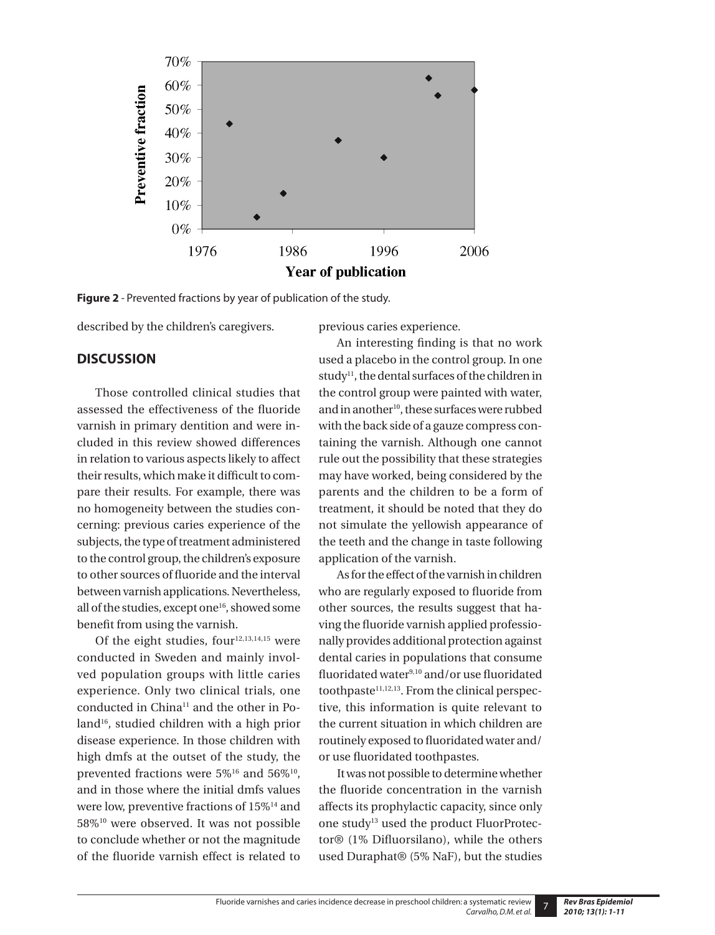

**Figure 2** *-* Prevented fractions by year of publication of the study.

described by the children's caregivers.

# **DISCUSSION**

Those controlled clinical studies that assessed the effectiveness of the fluoride varnish in primary dentition and were included in this review showed differences in relation to various aspects likely to affect their results, which make it difficult to compare their results. For example, there was no homogeneity between the studies concerning: previous caries experience of the subjects, the type of treatment administered to the control group, the children's exposure to other sources of fluoride and the interval between varnish applications. Nevertheless, all of the studies, except one<sup>16</sup>, showed some benefit from using the varnish.

Of the eight studies, four $12,13,14,15$  were conducted in Sweden and mainly involved population groups with little caries experience. Only two clinical trials, one conducted in China<sup>11</sup> and the other in Poland<sup>16</sup>, studied children with a high prior disease experience. In those children with high dmfs at the outset of the study, the prevented fractions were 5%<sup>16</sup> and 56%<sup>10</sup>, and in those where the initial dmfs values were low, preventive fractions of 15%14 and 58%10 were observed. It was not possible to conclude whether or not the magnitude of the fluoride varnish effect is related to

previous caries experience.

An interesting finding is that no work used a placebo in the control group. In one study<sup>11</sup>, the dental surfaces of the children in the control group were painted with water, and in another<sup>10</sup>, these surfaces were rubbed with the back side of a gauze compress containing the varnish. Although one cannot rule out the possibility that these strategies may have worked, being considered by the parents and the children to be a form of treatment, it should be noted that they do not simulate the yellowish appearance of the teeth and the change in taste following application of the varnish.

As for the effect of the varnish in children who are regularly exposed to fluoride from other sources, the results suggest that having the fluoride varnish applied professionally provides additional protection against dental caries in populations that consume fluoridated water<sup>9,10</sup> and/or use fluoridated toothpaste $11,12,13$ . From the clinical perspective, this information is quite relevant to the current situation in which children are routinely exposed to fluoridated water and/ or use fluoridated toothpastes.

It was not possible to determine whether the fluoride concentration in the varnish affects its prophylactic capacity, since only one study13 used the product FluorProtector® (1% Difluorsilano), while the others used Duraphat® (5% NaF), but the studies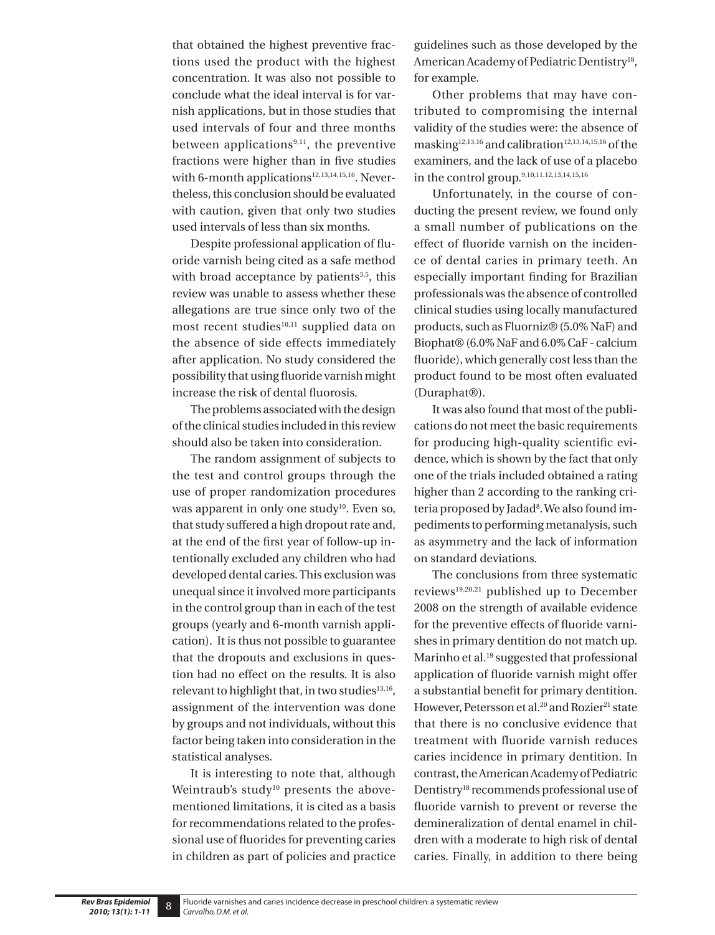that obtained the highest preventive fractions used the product with the highest concentration. It was also not possible to conclude what the ideal interval is for varnish applications, but in those studies that used intervals of four and three months between applications $9,11$ , the preventive fractions were higher than in five studies with 6-month applications<sup>12,13,14,15,16</sup>. Nevertheless, this conclusion should be evaluated with caution, given that only two studies used intervals of less than six months.

Despite professional application of fluoride varnish being cited as a safe method with broad acceptance by patients<sup>3,5</sup>, this review was unable to assess whether these allegations are true since only two of the most recent studies<sup>10,11</sup> supplied data on the absence of side effects immediately after application. No study considered the possibility that using fluoride varnish might increase the risk of dental fluorosis.

The problems associated with the design of the clinical studies included in this review should also be taken into consideration.

The random assignment of subjects to the test and control groups through the use of proper randomization procedures was apparent in only one study<sup>10</sup>. Even so, that study suffered a high dropout rate and, at the end of the first year of follow-up intentionally excluded any children who had developed dental caries. This exclusion was unequal since it involved more participants in the control group than in each of the test groups (yearly and 6-month varnish application). It is thus not possible to guarantee that the dropouts and exclusions in question had no effect on the results. It is also relevant to highlight that, in two studies<sup>13,16</sup>, assignment of the intervention was done by groups and not individuals, without this factor being taken into consideration in the statistical analyses.

It is interesting to note that, although Weintraub's study $10$  presents the abovementioned limitations, it is cited as a basis for recommendations related to the professional use of fluorides for preventing caries in children as part of policies and practice

guidelines such as those developed by the American Academy of Pediatric Dentistry<sup>18</sup>, for example.

Other problems that may have contributed to compromising the internal validity of the studies were: the absence of masking<sup>12,13,16</sup> and calibration<sup>12,13,14,15,16</sup> of the examiners, and the lack of use of a placebo in the control group.9,10,11,12,13,14,15,16

Unfortunately, in the course of conducting the present review, we found only a small number of publications on the effect of fluoride varnish on the incidence of dental caries in primary teeth. An especially important finding for Brazilian professionals was the absence of controlled clinical studies using locally manufactured products, such as Fluorniz® (5.0% NaF) and Biophat® (6.0% NaF and 6.0% CaF - calcium fluoride), which generally cost less than the product found to be most often evaluated (Duraphat®).

It was also found that most of the publications do not meet the basic requirements for producing high-quality scientific evidence, which is shown by the fact that only one of the trials included obtained a rating higher than 2 according to the ranking criteria proposed by Jadad<sup>8</sup>. We also found impediments to performing metanalysis, such as asymmetry and the lack of information on standard deviations.

The conclusions from three systematic reviews19,20,21 published up to December 2008 on the strength of available evidence for the preventive effects of fluoride varnishes in primary dentition do not match up. Marinho et al.<sup>19</sup> suggested that professional application of fluoride varnish might offer a substantial benefit for primary dentition. However, Petersson et al.<sup>20</sup> and Rozier<sup>21</sup> state that there is no conclusive evidence that treatment with fluoride varnish reduces caries incidence in primary dentition. In contrast, the American Academy of Pediatric Dentistry18 recommends professional use of fluoride varnish to prevent or reverse the demineralization of dental enamel in children with a moderate to high risk of dental caries. Finally, in addition to there being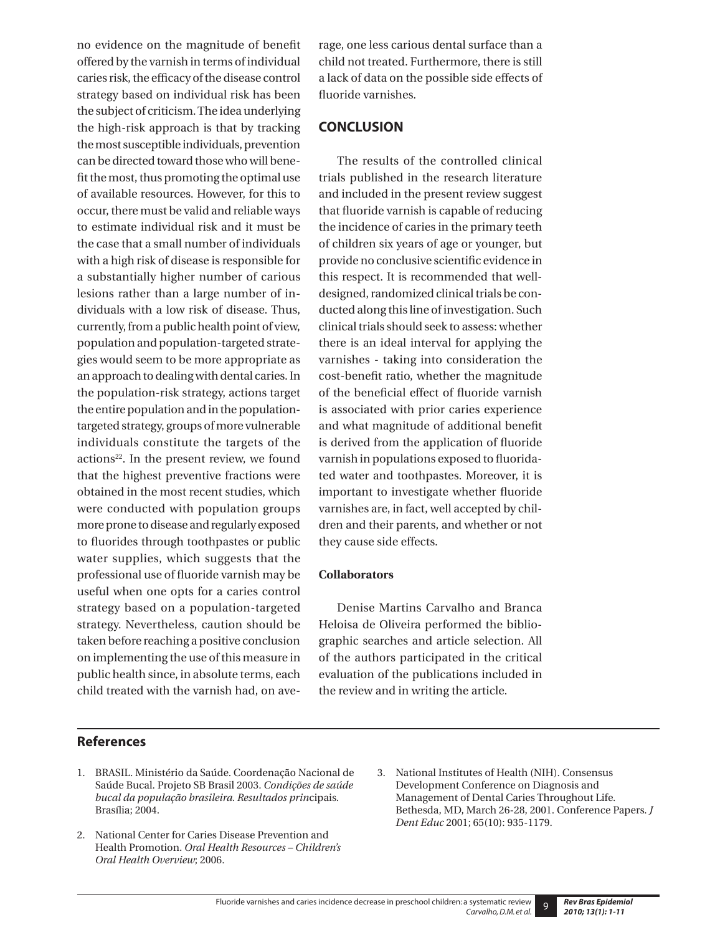no evidence on the magnitude of benefit offered by the varnish in terms of individual caries risk, the efficacy of the disease control strategy based on individual risk has been the subject of criticism. The idea underlying the high-risk approach is that by tracking the most susceptible individuals, prevention can be directed toward those who will benefit the most, thus promoting the optimal use of available resources. However, for this to occur, there must be valid and reliable ways to estimate individual risk and it must be the case that a small number of individuals with a high risk of disease is responsible for a substantially higher number of carious lesions rather than a large number of individuals with a low risk of disease. Thus, currently, from a public health point of view, population and population-targeted strategies would seem to be more appropriate as an approach to dealing with dental caries. In the population-risk strategy, actions target the entire population and in the populationtargeted strategy, groups of more vulnerable individuals constitute the targets of the actions<sup>22</sup>. In the present review, we found that the highest preventive fractions were obtained in the most recent studies, which were conducted with population groups more prone to disease and regularly exposed to fluorides through toothpastes or public water supplies, which suggests that the professional use of fluoride varnish may be useful when one opts for a caries control strategy based on a population-targeted strategy. Nevertheless, caution should be taken before reaching a positive conclusion on implementing the use of this measure in public health since, in absolute terms, each child treated with the varnish had, on ave-

# rage, one less carious dental surface than a child not treated. Furthermore, there is still a lack of data on the possible side effects of fluoride varnishes.

# **CONCLUSION**

The results of the controlled clinical trials published in the research literature and included in the present review suggest that fluoride varnish is capable of reducing the incidence of caries in the primary teeth of children six years of age or younger, but provide no conclusive scientific evidence in this respect. It is recommended that welldesigned, randomized clinical trials be conducted along this line of investigation. Such clinical trials should seek to assess: whether there is an ideal interval for applying the varnishes - taking into consideration the cost-benefit ratio, whether the magnitude of the beneficial effect of fluoride varnish is associated with prior caries experience and what magnitude of additional benefit is derived from the application of fluoride varnish in populations exposed to fluoridated water and toothpastes. Moreover, it is important to investigate whether fluoride varnishes are, in fact, well accepted by children and their parents, and whether or not they cause side effects.

#### **Collaborators**

Denise Martins Carvalho and Branca Heloisa de Oliveira performed the bibliographic searches and article selection. All of the authors participated in the critical evaluation of the publications included in the review and in writing the article.

# **References**

- 1. BRASIL. Ministério da Saúde. Coordenação Nacional de Saúde Bucal. Projeto SB Brasil 2003. *Condições de saúde bucal da população brasileira. Resultados prin*cipais. Brasília; 2004.
- 2. National Center for Caries Disease Prevention and Health Promotion. *Oral Health Resources – Children's Oral Health Overview*; 2006.
- 3. National Institutes of Health (NIH). Consensus Development Conference on Diagnosis and Management of Dental Caries Throughout Life. Bethesda, MD, March 26-28, 2001. Conference Papers. *J Dent Educ* 2001; 65(10): 935-1179.

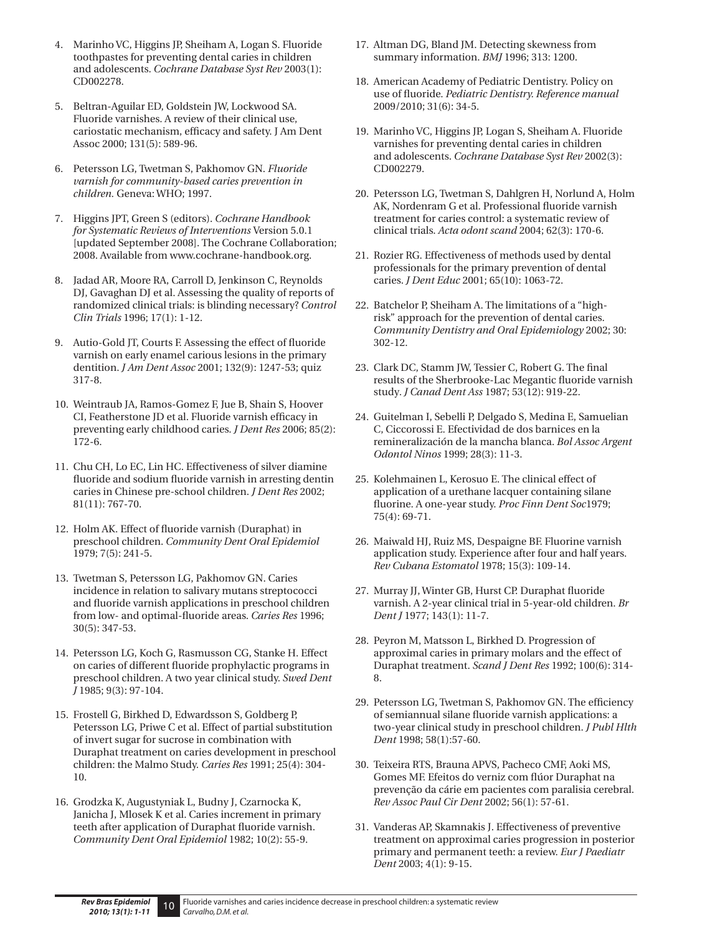- 4. Marinho VC, Higgins JP, Sheiham A, Logan S. Fluoride toothpastes for preventing dental caries in children and adolescents. *Cochrane Database Syst Rev* 2003(1): CD002278.
- 5. Beltran-Aguilar ED, Goldstein JW, Lockwood SA. Fluoride varnishes. A review of their clinical use, cariostatic mechanism, efficacy and safety. J Am Dent Assoc 2000; 131(5): 589-96.
- 6. Petersson LG, Twetman S, Pakhomov GN. *Fluoride varnish for community-based caries prevention in children.* Geneva: WHO; 1997.
- 7. Higgins JPT, Green S (editors). *Cochrane Handbook for Systematic Reviews of Interventions* Version 5.0.1 [updated September 2008]. The Cochrane Collaboration; 2008. Available from www.cochrane-handbook.org.
- 8. Jadad AR, Moore RA, Carroll D, Jenkinson C, Reynolds DJ, Gavaghan DJ et al. Assessing the quality of reports of randomized clinical trials: is blinding necessary? *Control Clin Trials* 1996; 17(1): 1-12.
- 9. Autio-Gold JT, Courts F. Assessing the effect of fluoride varnish on early enamel carious lesions in the primary dentition. *J Am Dent Assoc* 2001; 132(9): 1247-53; quiz 317-8.
- 10. Weintraub JA, Ramos-Gomez F, Jue B, Shain S, Hoover CI, Featherstone JD et al. Fluoride varnish efficacy in preventing early childhood caries. *J Dent Res* 2006; 85(2): 172-6.
- 11. Chu CH, Lo EC, Lin HC. Effectiveness of silver diamine fluoride and sodium fluoride varnish in arresting dentin caries in Chinese pre-school children. *J Dent Res* 2002; 81(11): 767-70.
- 12. Holm AK. Effect of fluoride varnish (Duraphat) in preschool children. *Community Dent Oral Epidemiol* 1979; 7(5): 241-5.
- 13. Twetman S, Petersson LG, Pakhomov GN. Caries incidence in relation to salivary mutans streptococci and fluoride varnish applications in preschool children from low- and optimal-fluoride areas. *Caries Res* 1996; 30(5): 347-53.
- 14. Petersson LG, Koch G, Rasmusson CG, Stanke H. Effect on caries of different fluoride prophylactic programs in preschool children. A two year clinical study. *Swed Dent J* 1985; 9(3): 97-104.
- 15. Frostell G, Birkhed D, Edwardsson S, Goldberg P, Petersson LG, Priwe C et al. Effect of partial substitution of invert sugar for sucrose in combination with Duraphat treatment on caries development in preschool children: the Malmo Study. *Caries Res* 1991; 25(4): 304- 10.
- 16. Grodzka K, Augustyniak L, Budny J, Czarnocka K, Janicha J, Mlosek K et al. Caries increment in primary teeth after application of Duraphat fluoride varnish. *Community Dent Oral Epidemiol* 1982; 10(2): 55-9.
- 17. Altman DG, Bland JM. Detecting skewness from summary information. *BMJ* 1996; 313: 1200.
- 18. American Academy of Pediatric Dentistry. Policy on use of fluoride. *Pediatric Dentistry. Reference manual* 2009/2010; 31(6): 34-5.
- 19. Marinho VC, Higgins JP, Logan S, Sheiham A. Fluoride varnishes for preventing dental caries in children and adolescents. *Cochrane Database Syst Rev* 2002(3): CD002279.
- 20. Petersson LG, Twetman S, Dahlgren H, Norlund A, Holm AK, Nordenram G et al. Professional fluoride varnish treatment for caries control: a systematic review of clinical trials. *Acta odont scand* 2004; 62(3): 170-6.
- 21. Rozier RG. Effectiveness of methods used by dental professionals for the primary prevention of dental caries. *J Dent Educ* 2001; 65(10): 1063-72.
- 22. Batchelor P, Sheiham A. The limitations of a "highrisk" approach for the prevention of dental caries. *Community Dentistry and Oral Epidemiology* 2002; 30: 302-12.
- 23. Clark DC, Stamm JW, Tessier C, Robert G. The final results of the Sherbrooke-Lac Megantic fluoride varnish study*. J Canad Dent Ass* 1987; 53(12): 919-22.
- 24. Guitelman I, Sebelli P, Delgado S, Medina E, Samuelian C, Ciccorossi E. Efectividad de dos barnices en la remineralización de la mancha blanca. *Bol Assoc Argent Odontol Ninos* 1999; 28(3): 11-3.
- 25. Kolehmainen L, Kerosuo E. The clinical effect of application of a urethane lacquer containing silane fluorine. A one-year study. *Proc Finn Dent Soc*1979; 75(4): 69-71.
- 26. Maiwald HJ, Ruiz MS, Despaigne BF. Fluorine varnish application study. Experience after four and half years. *Rev Cubana Estomatol* 1978; 15(3): 109-14.
- 27. Murray JJ, Winter GB, Hurst CP. Duraphat fluoride varnish. A 2-year clinical trial in 5-year-old children. *Br Dent J* 1977; 143(1): 11-7.
- 28. Peyron M, Matsson L, Birkhed D. Progression of approximal caries in primary molars and the effect of Duraphat treatment. *Scand J Dent Res* 1992; 100(6): 314- 8.
- 29. Petersson LG, Twetman S, Pakhomov GN. The efficiency of semiannual silane fluoride varnish applications: a two-year clinical study in preschool children. *J Publ Hlth Dent* 1998; 58(1):57-60.
- 30. Teixeira RTS, Brauna APVS, Pacheco CMF, Aoki MS, Gomes MF. Efeitos do verniz com flúor Duraphat na prevenção da cárie em pacientes com paralisia cerebral. *Rev Assoc Paul Cir Dent* 2002; 56(1): 57-61.
- 31. Vanderas AP, Skamnakis J. Effectiveness of preventive treatment on approximal caries progression in posterior primary and permanent teeth: a review. *Eur J Paediatr Dent* 2003; 4(1): 9-15.